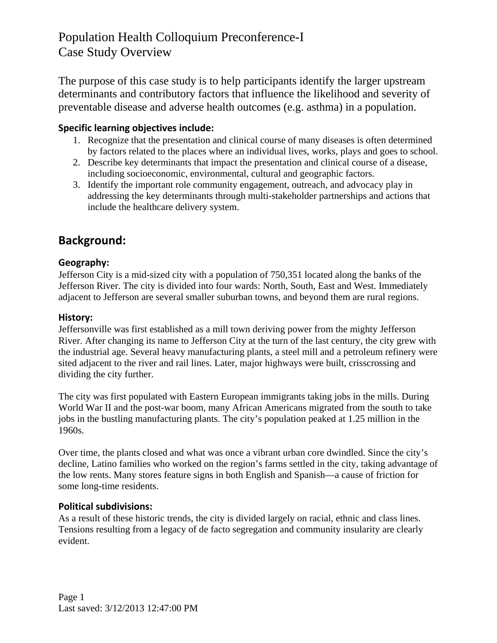The purpose of this case study is to help participants identify the larger upstream determinants and contributory factors that influence the likelihood and severity of preventable disease and adverse health outcomes (e.g. asthma) in a population.

# **Specific learning objectives include:**

- 1. Recognize that the presentation and clinical course of many diseases is often determined by factors related to the places where an individual lives, works, plays and goes to school.
- 2. Describe key determinants that impact the presentation and clinical course of a disease, including socioeconomic, environmental, cultural and geographic factors.
- 3. Identify the important role community engagement, outreach, and advocacy play in addressing the key determinants through multi-stakeholder partnerships and actions that include the healthcare delivery system.

# **Background:**

# **Geography:**

Jefferson City is a mid-sized city with a population of 750,351 located along the banks of the Jefferson River. The city is divided into four wards: North, South, East and West. Immediately adjacent to Jefferson are several smaller suburban towns, and beyond them are rural regions.

# **History:**

Jeffersonville was first established as a mill town deriving power from the mighty Jefferson River. After changing its name to Jefferson City at the turn of the last century, the city grew with the industrial age. Several heavy manufacturing plants, a steel mill and a petroleum refinery were sited adjacent to the river and rail lines. Later, major highways were built, crisscrossing and dividing the city further.

The city was first populated with Eastern European immigrants taking jobs in the mills. During World War II and the post-war boom, many African Americans migrated from the south to take jobs in the bustling manufacturing plants. The city's population peaked at 1.25 million in the 1960s.

Over time, the plants closed and what was once a vibrant urban core dwindled. Since the city's decline, Latino families who worked on the region's farms settled in the city, taking advantage of the low rents. Many stores feature signs in both English and Spanish—a cause of friction for some long-time residents.

# **Political subdivisions:**

As a result of these historic trends, the city is divided largely on racial, ethnic and class lines. Tensions resulting from a legacy of de facto segregation and community insularity are clearly evident.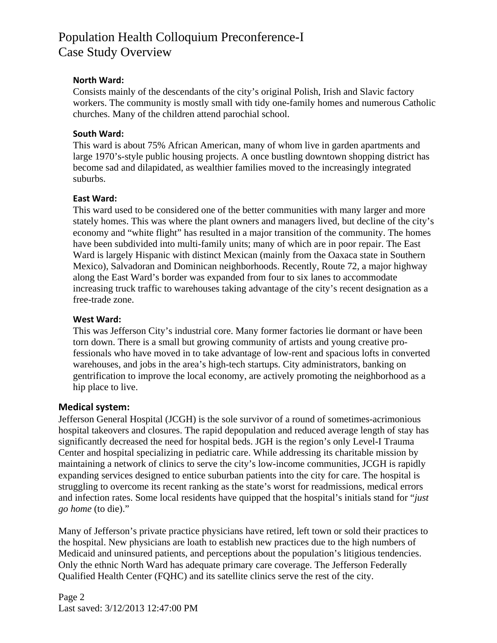### **North Ward:**

Consists mainly of the descendants of the city's original Polish, Irish and Slavic factory workers. The community is mostly small with tidy one-family homes and numerous Catholic churches. Many of the children attend parochial school.

### **South Ward:**

This ward is about 75% African American, many of whom live in garden apartments and large 1970's-style public housing projects. A once bustling downtown shopping district has become sad and dilapidated, as wealthier families moved to the increasingly integrated suburbs.

### **East Ward:**

This ward used to be considered one of the better communities with many larger and more stately homes. This was where the plant owners and managers lived, but decline of the city's economy and "white flight" has resulted in a major transition of the community. The homes have been subdivided into multi-family units; many of which are in poor repair. The East Ward is largely Hispanic with distinct Mexican (mainly from the Oaxaca state in Southern Mexico), Salvadoran and Dominican neighborhoods. Recently, Route 72, a major highway along the East Ward's border was expanded from four to six lanes to accommodate increasing truck traffic to warehouses taking advantage of the city's recent designation as a free-trade zone.

#### **West Ward:**

This was Jefferson City's industrial core. Many former factories lie dormant or have been torn down. There is a small but growing community of artists and young creative professionals who have moved in to take advantage of low-rent and spacious lofts in converted warehouses, and jobs in the area's high-tech startups. City administrators, banking on gentrification to improve the local economy, are actively promoting the neighborhood as a hip place to live.

# **Medical system:**

Jefferson General Hospital (JCGH) is the sole survivor of a round of sometimes-acrimonious hospital takeovers and closures. The rapid depopulation and reduced average length of stay has significantly decreased the need for hospital beds. JGH is the region's only Level-I Trauma Center and hospital specializing in pediatric care. While addressing its charitable mission by maintaining a network of clinics to serve the city's low-income communities, JCGH is rapidly expanding services designed to entice suburban patients into the city for care. The hospital is struggling to overcome its recent ranking as the state's worst for readmissions, medical errors and infection rates. Some local residents have quipped that the hospital's initials stand for "*just go home* (to die)."

Many of Jefferson's private practice physicians have retired, left town or sold their practices to the hospital. New physicians are loath to establish new practices due to the high numbers of Medicaid and uninsured patients, and perceptions about the population's litigious tendencies. Only the ethnic North Ward has adequate primary care coverage. The Jefferson Federally Qualified Health Center (FQHC) and its satellite clinics serve the rest of the city.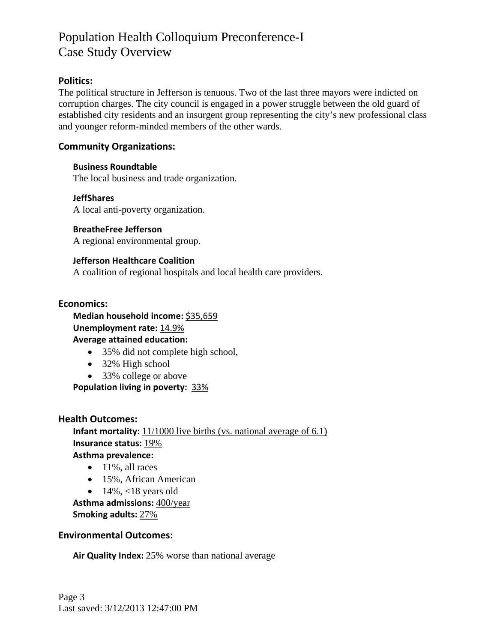# **Politics:**

The political structure in Jefferson is tenuous. Two of the last three mayors were indicted on corruption charges. The city council is engaged in a power struggle between the old guard of established city residents and an insurgent group representing the city's new professional class and younger reform-minded members of the other wards.

## **Community Organizations:**

#### **Business Roundtable**

The local business and trade organization.

#### **JeffShares**

A local anti-poverty organization.

#### **BreatheFree Jefferson**

A regional environmental group.

### **Jefferson Healthcare Coalition**

A coalition of regional hospitals and local health care providers.

#### **Economics:**

**Median household income:** \$35,659 **Unemployment rate: 14.9% Average attained education:** 

- 35% did not complete high school,
- 32% High school
- 33% college or above

**Population living in poverty:** 33%

#### **Health Outcomes:**

**Infant mortality:** 11/1000 live births (vs. national average of 6.1) **Insurance status:** 19% **Asthma prevalence:** 

- $\bullet$  11%, all races
- 15%, African American
- 
- $\bullet$  14%, <18 years old

**Asthma admissions:** 400/year **Smoking adults:** 27%

### **Environmental Outcomes:**

**Air Quality Index:** 25% worse than national average